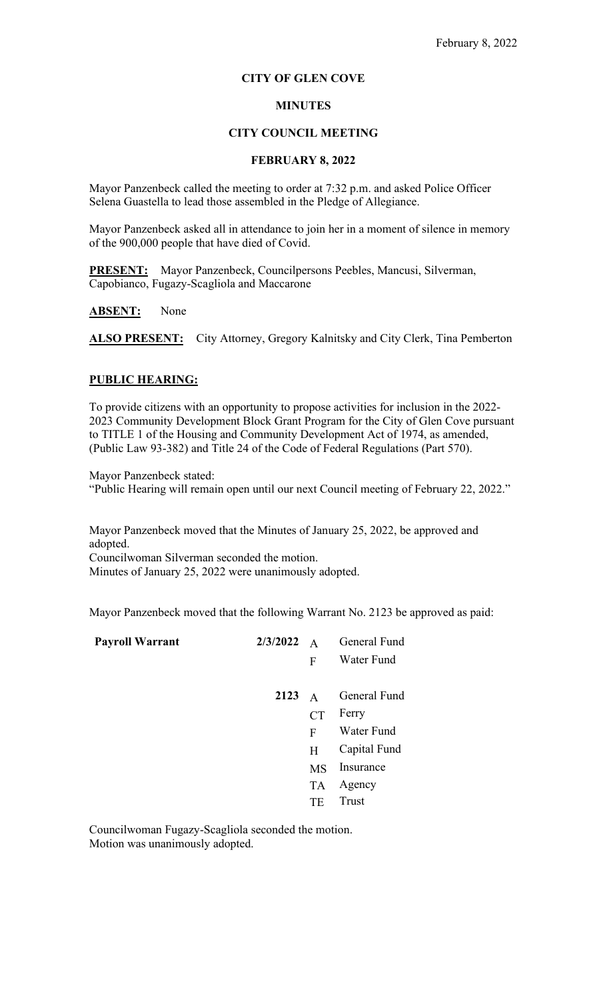# **CITY OF GLEN COVE**

# **MINUTES**

## **CITY COUNCIL MEETING**

## **FEBRUARY 8, 2022**

Mayor Panzenbeck called the meeting to order at 7:32 p.m. and asked Police Officer Selena Guastella to lead those assembled in the Pledge of Allegiance.

Mayor Panzenbeck asked all in attendance to join her in a moment of silence in memory of the 900,000 people that have died of Covid.

**PRESENT:** Mayor Panzenbeck, Councilpersons Peebles, Mancusi, Silverman, Capobianco, Fugazy-Scagliola and Maccarone

**ABSENT:** None

ALSO PRESENT: City Attorney, Gregory Kalnitsky and City Clerk, Tina Pemberton

# **PUBLIC HEARING:**

To provide citizens with an opportunity to propose activities for inclusion in the 2022- 2023 Community Development Block Grant Program for the City of Glen Cove pursuant to TITLE 1 of the Housing and Community Development Act of 1974, as amended, (Public Law 93-382) and Title 24 of the Code of Federal Regulations (Part 570).

Mayor Panzenbeck stated: "Public Hearing will remain open until our next Council meeting of February 22, 2022."

Mayor Panzenbeck moved that the Minutes of January 25, 2022, be approved and adopted. Councilwoman Silverman seconded the motion. Minutes of January 25, 2022 were unanimously adopted.

Mayor Panzenbeck moved that the following Warrant No. 2123 be approved as paid:

| <b>Payroll Warrant</b> | 2/3/2022 | $\overline{A}$ | General Fund |
|------------------------|----------|----------------|--------------|
|                        |          | F              | Water Fund   |
|                        |          |                |              |
|                        | 2123     | $\mathsf{A}$   | General Fund |
|                        |          | <b>CT</b>      | Ferry        |
|                        |          | F              | Water Fund   |
|                        |          | H              | Capital Fund |
|                        |          | <b>MS</b>      | Insurance    |
|                        |          | <b>TA</b>      | Agency       |
|                        |          | TE             | Trust        |
|                        |          |                |              |

Councilwoman Fugazy-Scagliola seconded the motion. Motion was unanimously adopted.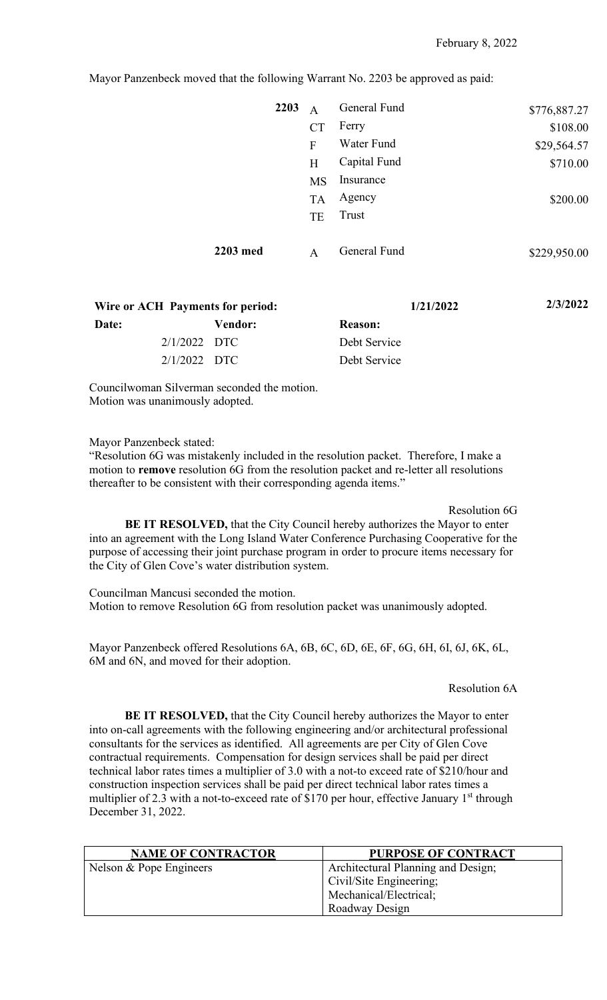Mayor Panzenbeck moved that the following Warrant No. 2203 be approved as paid:

| 2203     | $\mathsf{A}$ | General Fund | \$776,887.27 |
|----------|--------------|--------------|--------------|
|          | CT           | Ferry        | \$108.00     |
|          | F            | Water Fund   | \$29,564.57  |
|          | H            | Capital Fund | \$710.00     |
|          | <b>MS</b>    | Insurance    |              |
|          | <b>TA</b>    | Agency       | \$200.00     |
|          | TE           | Trust        |              |
| 2203 med | A            | General Fund | \$229,950.00 |

| Wire or ACH Payments for period: |         |                | 1/21/2022 | 2/3/2022 |
|----------------------------------|---------|----------------|-----------|----------|
| Date:                            | Vendor: | <b>Reason:</b> |           |          |
| $2/1/2022$ DTC                   |         | Debt Service   |           |          |
| $2/1/2022$ DTC                   |         | Debt Service   |           |          |

Councilwoman Silverman seconded the motion. Motion was unanimously adopted.

Mayor Panzenbeck stated:

"Resolution 6G was mistakenly included in the resolution packet. Therefore, I make a motion to **remove** resolution 6G from the resolution packet and re-letter all resolutions thereafter to be consistent with their corresponding agenda items."

Resolution 6G **BE IT RESOLVED,** that the City Council hereby authorizes the Mayor to enter into an agreement with the Long Island Water Conference Purchasing Cooperative for the purpose of accessing their joint purchase program in order to procure items necessary for the City of Glen Cove's water distribution system.

Councilman Mancusi seconded the motion. Motion to remove Resolution 6G from resolution packet was unanimously adopted.

Mayor Panzenbeck offered Resolutions 6A, 6B, 6C, 6D, 6E, 6F, 6G, 6H, 6I, 6J, 6K, 6L, 6M and 6N, and moved for their adoption.

### Resolution 6A

**BE IT RESOLVED,** that the City Council hereby authorizes the Mayor to enter into on-call agreements with the following engineering and/or architectural professional consultants for the services as identified. All agreements are per City of Glen Cove contractual requirements. Compensation for design services shall be paid per direct technical labor rates times a multiplier of 3.0 with a not-to exceed rate of \$210/hour and construction inspection services shall be paid per direct technical labor rates times a multiplier of 2.3 with a not-to-exceed rate of \$170 per hour, effective January  $1<sup>st</sup>$  through December 31, 2022.

| <b>NAME OF CONTRACTOR</b> | <b>PURPOSE OF CONTRACT</b>         |
|---------------------------|------------------------------------|
| Nelson & Pope Engineers   | Architectural Planning and Design; |
|                           | Civil/Site Engineering;            |
|                           | Mechanical/Electrical;             |
|                           | Roadway Design                     |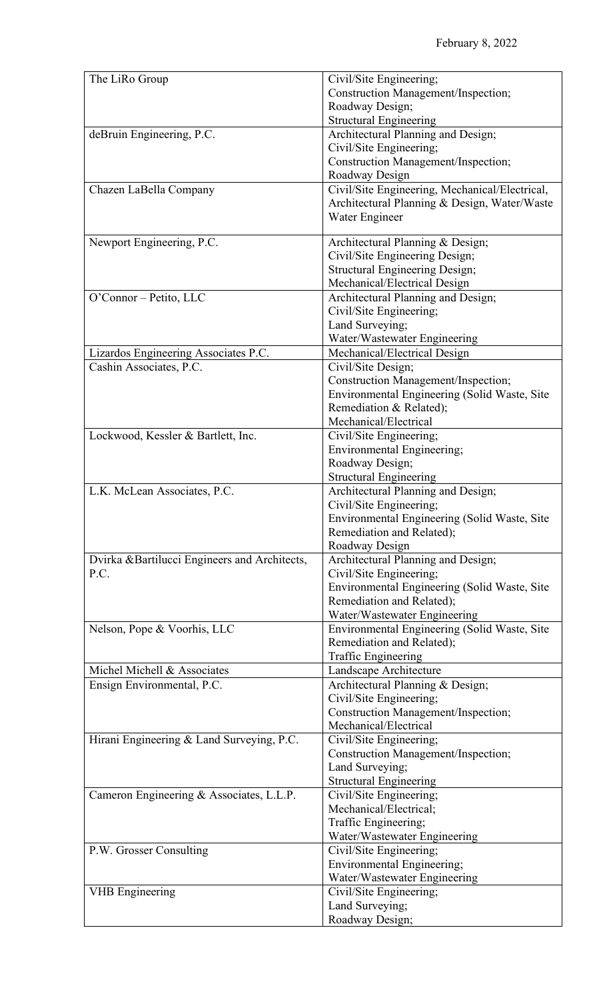| The LiRo Group                               | Civil/Site Engineering;                                      |
|----------------------------------------------|--------------------------------------------------------------|
|                                              | Construction Management/Inspection;                          |
|                                              | Roadway Design;                                              |
|                                              | <b>Structural Engineering</b>                                |
| deBruin Engineering, P.C.                    | Architectural Planning and Design;                           |
|                                              | Civil/Site Engineering;                                      |
|                                              | Construction Management/Inspection;                          |
|                                              | Roadway Design                                               |
| Chazen LaBella Company                       | Civil/Site Engineering, Mechanical/Electrical,               |
|                                              | Architectural Planning & Design, Water/Waste                 |
|                                              | Water Engineer                                               |
| Newport Engineering, P.C.                    | Architectural Planning & Design;                             |
|                                              | Civil/Site Engineering Design;                               |
|                                              | <b>Structural Engineering Design;</b>                        |
|                                              | Mechanical/Electrical Design                                 |
| O'Connor - Petito, LLC                       | Architectural Planning and Design;                           |
|                                              | Civil/Site Engineering;                                      |
|                                              | Land Surveying;                                              |
|                                              | Water/Wastewater Engineering                                 |
| Lizardos Engineering Associates P.C.         | Mechanical/Electrical Design                                 |
| Cashin Associates, P.C.                      | Civil/Site Design;                                           |
|                                              | Construction Management/Inspection;                          |
|                                              | Environmental Engineering (Solid Waste, Site                 |
|                                              | Remediation & Related);                                      |
|                                              | Mechanical/Electrical                                        |
| Lockwood, Kessler & Bartlett, Inc.           | Civil/Site Engineering;<br><b>Environmental Engineering;</b> |
|                                              | Roadway Design;                                              |
|                                              | <b>Structural Engineering</b>                                |
| L.K. McLean Associates, P.C.                 | Architectural Planning and Design;                           |
|                                              | Civil/Site Engineering;                                      |
|                                              | Environmental Engineering (Solid Waste, Site                 |
|                                              | Remediation and Related);                                    |
|                                              | Roadway Design                                               |
| Dvirka &Bartilucci Engineers and Architects, | Architectural Planning and Design;                           |
| P.C.                                         | Civil/Site Engineering;                                      |
|                                              | Environmental Engineering (Solid Waste, Site                 |
|                                              | Remediation and Related);                                    |
|                                              | Water/Wastewater Engineering                                 |
| Nelson, Pope & Voorhis, LLC                  | Environmental Engineering (Solid Waste, Site                 |
|                                              | Remediation and Related);                                    |
| Michel Michell & Associates                  | <b>Traffic Engineering</b>                                   |
| Ensign Environmental, P.C.                   | Landscape Architecture<br>Architectural Planning & Design;   |
|                                              | Civil/Site Engineering;                                      |
|                                              | Construction Management/Inspection;                          |
|                                              | Mechanical/Electrical                                        |
| Hirani Engineering & Land Surveying, P.C.    | Civil/Site Engineering;                                      |
|                                              | Construction Management/Inspection;                          |
|                                              | Land Surveying;                                              |
|                                              | <b>Structural Engineering</b>                                |
| Cameron Engineering & Associates, L.L.P.     | Civil/Site Engineering;                                      |
|                                              | Mechanical/Electrical;                                       |
|                                              | Traffic Engineering;                                         |
|                                              | Water/Wastewater Engineering                                 |
| P.W. Grosser Consulting                      | Civil/Site Engineering;                                      |
|                                              | <b>Environmental Engineering;</b>                            |
| <b>VHB</b> Engineering                       | Water/Wastewater Engineering<br>Civil/Site Engineering;      |
|                                              | Land Surveying;                                              |
|                                              | Roadway Design;                                              |
|                                              |                                                              |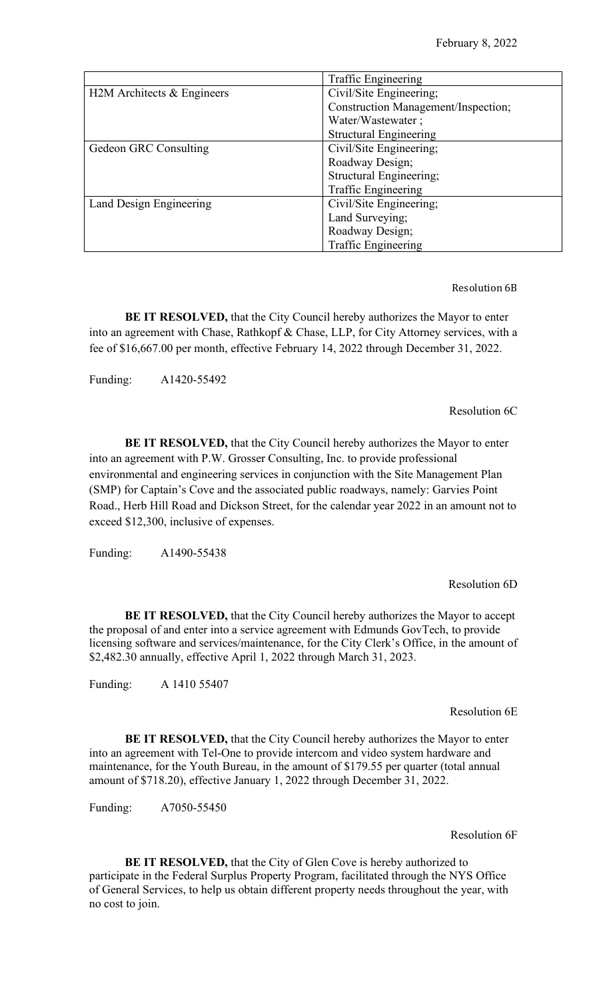|                            | Traffic Engineering                 |  |
|----------------------------|-------------------------------------|--|
| H2M Architects & Engineers | Civil/Site Engineering;             |  |
|                            | Construction Management/Inspection; |  |
|                            | Water/Wastewater;                   |  |
|                            | <b>Structural Engineering</b>       |  |
| Gedeon GRC Consulting      | Civil/Site Engineering;             |  |
|                            | Roadway Design;                     |  |
|                            | Structural Engineering;             |  |
|                            | Traffic Engineering                 |  |
| Land Design Engineering    | Civil/Site Engineering;             |  |
|                            | Land Surveying;                     |  |
|                            | Roadway Design;                     |  |
|                            | <b>Traffic Engineering</b>          |  |

Resolution 6B

**BE IT RESOLVED,** that the City Council hereby authorizes the Mayor to enter into an agreement with Chase, Rathkopf & Chase, LLP, for City Attorney services, with a fee of \$16,667.00 per month, effective February 14, 2022 through December 31, 2022.

Funding: A1420-55492

Resolution 6C

**BE IT RESOLVED,** that the City Council hereby authorizes the Mayor to enter into an agreement with P.W. Grosser Consulting, Inc. to provide professional environmental and engineering services in conjunction with the Site Management Plan (SMP) for Captain's Cove and the associated public roadways, namely: Garvies Point Road., Herb Hill Road and Dickson Street, for the calendar year 2022 in an amount not to exceed \$12,300, inclusive of expenses.

Funding: A1490-55438

Resolution 6D

**BE IT RESOLVED,** that the City Council hereby authorizes the Mayor to accept the proposal of and enter into a service agreement with Edmunds GovTech, to provide licensing software and services/maintenance, for the City Clerk's Office, in the amount of \$2,482.30 annually, effective April 1, 2022 through March 31, 2023.

Funding: A 1410 55407

Resolution 6E

**BE IT RESOLVED,** that the City Council hereby authorizes the Mayor to enter into an agreement with Tel-One to provide intercom and video system hardware and maintenance, for the Youth Bureau, in the amount of \$179.55 per quarter (total annual amount of \$718.20), effective January 1, 2022 through December 31, 2022.

Funding: A7050-55450

Resolution 6F

**BE IT RESOLVED,** that the City of Glen Cove is hereby authorized to participate in the Federal Surplus Property Program, facilitated through the NYS Office of General Services, to help us obtain different property needs throughout the year, with no cost to join.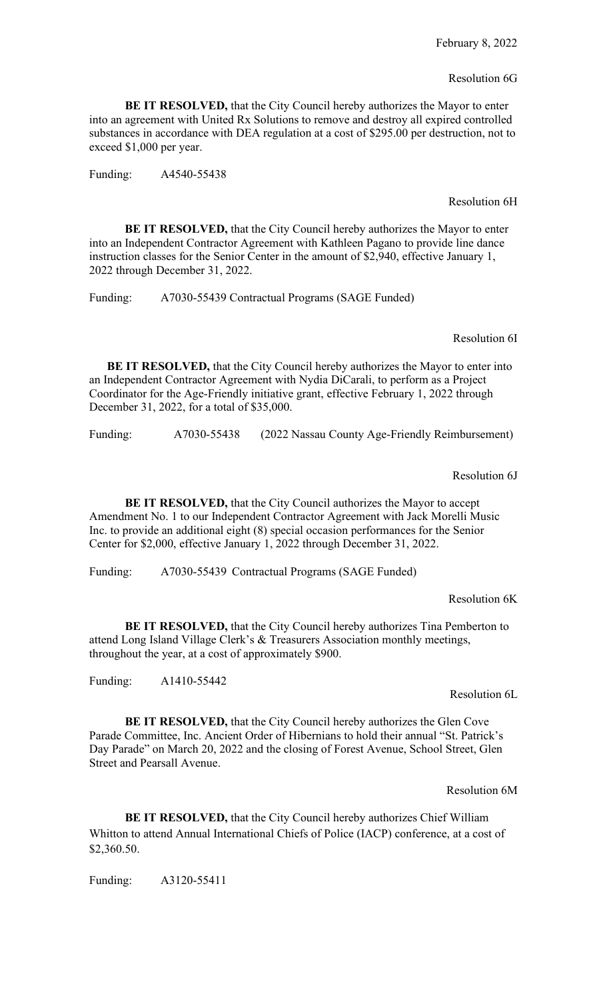#### Resolution 6G

**BE IT RESOLVED,** that the City Council hereby authorizes the Mayor to enter into an agreement with United Rx Solutions to remove and destroy all expired controlled substances in accordance with DEA regulation at a cost of \$295.00 per destruction, not to exceed \$1,000 per year.

Funding: A4540-55438

### Resolution 6H

**BE IT RESOLVED,** that the City Council hereby authorizes the Mayor to enter into an Independent Contractor Agreement with Kathleen Pagano to provide line dance instruction classes for the Senior Center in the amount of \$2,940, effective January 1, 2022 through December 31, 2022.

Funding: A7030-55439 Contractual Programs (SAGE Funded)

Resolution 6I

**BE IT RESOLVED,** that the City Council hereby authorizes the Mayor to enter into an Independent Contractor Agreement with Nydia DiCarali, to perform as a Project Coordinator for the Age-Friendly initiative grant, effective February 1, 2022 through December 31, 2022, for a total of \$35,000.

Funding: A7030-55438 (2022 Nassau County Age-Friendly Reimbursement)

Resolution 6J

**BE IT RESOLVED,** that the City Council authorizes the Mayor to accept Amendment No. 1 to our Independent Contractor Agreement with Jack Morelli Music Inc. to provide an additional eight (8) special occasion performances for the Senior Center for \$2,000, effective January 1, 2022 through December 31, 2022.

Funding: A7030-55439 Contractual Programs (SAGE Funded)

### Resolution 6K

**BE IT RESOLVED,** that the City Council hereby authorizes Tina Pemberton to attend Long Island Village Clerk's & Treasurers Association monthly meetings, throughout the year, at a cost of approximately \$900.

Funding: A1410-55442

Resolution 6L

**BE IT RESOLVED,** that the City Council hereby authorizes the Glen Cove Parade Committee, Inc. Ancient Order of Hibernians to hold their annual "St. Patrick's Day Parade" on March 20, 2022 and the closing of Forest Avenue, School Street, Glen Street and Pearsall Avenue.

Resolution 6M

**BE IT RESOLVED,** that the City Council hereby authorizes Chief William Whitton to attend Annual International Chiefs of Police (IACP) conference, at a cost of \$2,360.50.

Funding: A3120-55411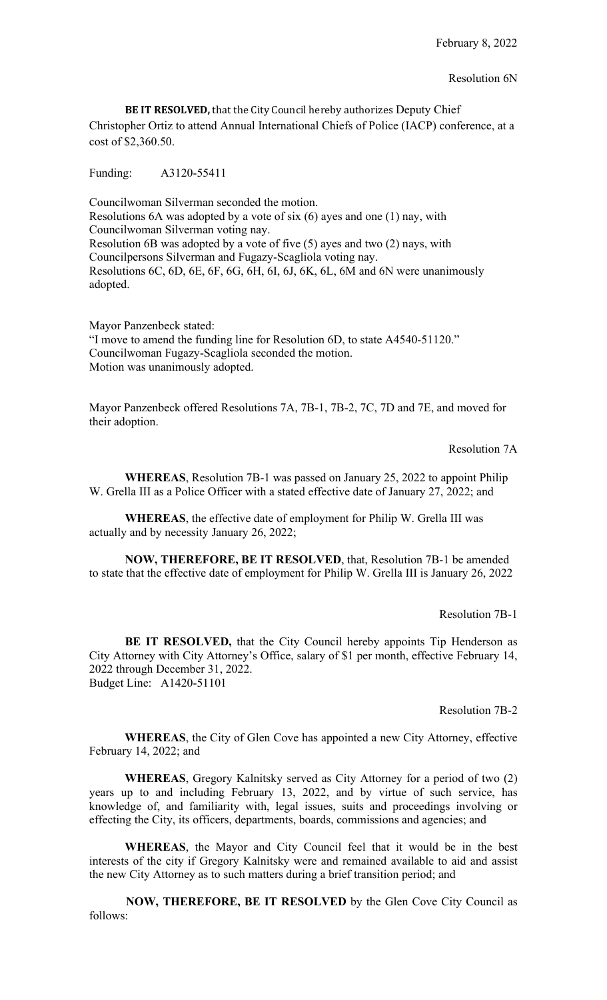**BE IT RESOLVED,** that the City Council hereby authorizes Deputy Chief Christopher Ortiz to attend Annual International Chiefs of Police (IACP) conference, at a cost of \$2,360.50.

Funding: A3120-55411

Councilwoman Silverman seconded the motion. Resolutions 6A was adopted by a vote of six (6) ayes and one (1) nay, with Councilwoman Silverman voting nay. Resolution 6B was adopted by a vote of five (5) ayes and two (2) nays, with Councilpersons Silverman and Fugazy-Scagliola voting nay. Resolutions 6C, 6D, 6E, 6F, 6G, 6H, 6I, 6J, 6K, 6L, 6M and 6N were unanimously adopted.

Mayor Panzenbeck stated: "I move to amend the funding line for Resolution 6D, to state A4540-51120." Councilwoman Fugazy-Scagliola seconded the motion. Motion was unanimously adopted.

Mayor Panzenbeck offered Resolutions 7A, 7B-1, 7B-2, 7C, 7D and 7E, and moved for their adoption.

Resolution 7A

**WHEREAS**, Resolution 7B-1 was passed on January 25, 2022 to appoint Philip W. Grella III as a Police Officer with a stated effective date of January 27, 2022; and

**WHEREAS**, the effective date of employment for Philip W. Grella III was actually and by necessity January 26, 2022;

**NOW, THEREFORE, BE IT RESOLVED**, that, Resolution 7B-1 be amended to state that the effective date of employment for Philip W. Grella III is January 26, 2022

Resolution 7B-1

**BE IT RESOLVED,** that the City Council hereby appoints Tip Henderson as City Attorney with City Attorney's Office, salary of \$1 per month, effective February 14, 2022 through December 31, 2022. Budget Line: A1420-51101

Resolution 7B-2

**WHEREAS**, the City of Glen Cove has appointed a new City Attorney, effective February 14, 2022; and

**WHEREAS**, Gregory Kalnitsky served as City Attorney for a period of two (2) years up to and including February 13, 2022, and by virtue of such service, has knowledge of, and familiarity with, legal issues, suits and proceedings involving or effecting the City, its officers, departments, boards, commissions and agencies; and

**WHEREAS**, the Mayor and City Council feel that it would be in the best interests of the city if Gregory Kalnitsky were and remained available to aid and assist the new City Attorney as to such matters during a brief transition period; and

 **NOW, THEREFORE, BE IT RESOLVED** by the Glen Cove City Council as follows: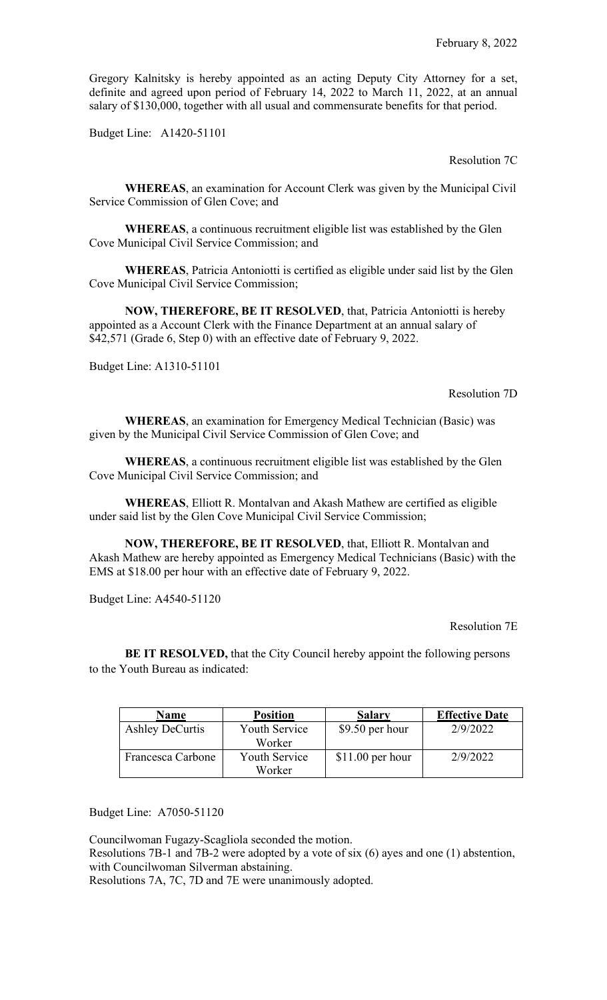Gregory Kalnitsky is hereby appointed as an acting Deputy City Attorney for a set, definite and agreed upon period of February 14, 2022 to March 11, 2022, at an annual salary of \$130,000, together with all usual and commensurate benefits for that period.

Budget Line: A1420-51101

Resolution 7C

**WHEREAS**, an examination for Account Clerk was given by the Municipal Civil Service Commission of Glen Cove; and

**WHEREAS**, a continuous recruitment eligible list was established by the Glen Cove Municipal Civil Service Commission; and

**WHEREAS**, Patricia Antoniotti is certified as eligible under said list by the Glen Cove Municipal Civil Service Commission;

**NOW, THEREFORE, BE IT RESOLVED**, that, Patricia Antoniotti is hereby appointed as a Account Clerk with the Finance Department at an annual salary of \$42,571 (Grade 6, Step 0) with an effective date of February 9, 2022.

Budget Line: A1310-51101

Resolution 7D

**WHEREAS**, an examination for Emergency Medical Technician (Basic) was given by the Municipal Civil Service Commission of Glen Cove; and

**WHEREAS**, a continuous recruitment eligible list was established by the Glen Cove Municipal Civil Service Commission; and

**WHEREAS**, Elliott R. Montalvan and Akash Mathew are certified as eligible under said list by the Glen Cove Municipal Civil Service Commission;

**NOW, THEREFORE, BE IT RESOLVED**, that, Elliott R. Montalvan and Akash Mathew are hereby appointed as Emergency Medical Technicians (Basic) with the EMS at \$18.00 per hour with an effective date of February 9, 2022.

Budget Line: A4540-51120

Resolution 7E

**BE IT RESOLVED, that the City Council hereby appoint the following persons** to the Youth Bureau as indicated:

| Name                   | <b>Position</b>                         | <b>Salary</b>     | <b>Effective Date</b> |
|------------------------|-----------------------------------------|-------------------|-----------------------|
| <b>Ashley DeCurtis</b> | <b>Youth Service</b><br>\$9.50 per hour |                   | 2/9/2022              |
|                        | Worker                                  |                   |                       |
| Francesca Carbone      | <b>Youth Service</b>                    | $$11.00$ per hour | 2/9/2022              |
|                        | Worker                                  |                   |                       |

Budget Line: A7050-51120

Councilwoman Fugazy-Scagliola seconded the motion.

Resolutions 7B-1 and 7B-2 were adopted by a vote of six (6) ayes and one (1) abstention, with Councilwoman Silverman abstaining.

Resolutions 7A, 7C, 7D and 7E were unanimously adopted.